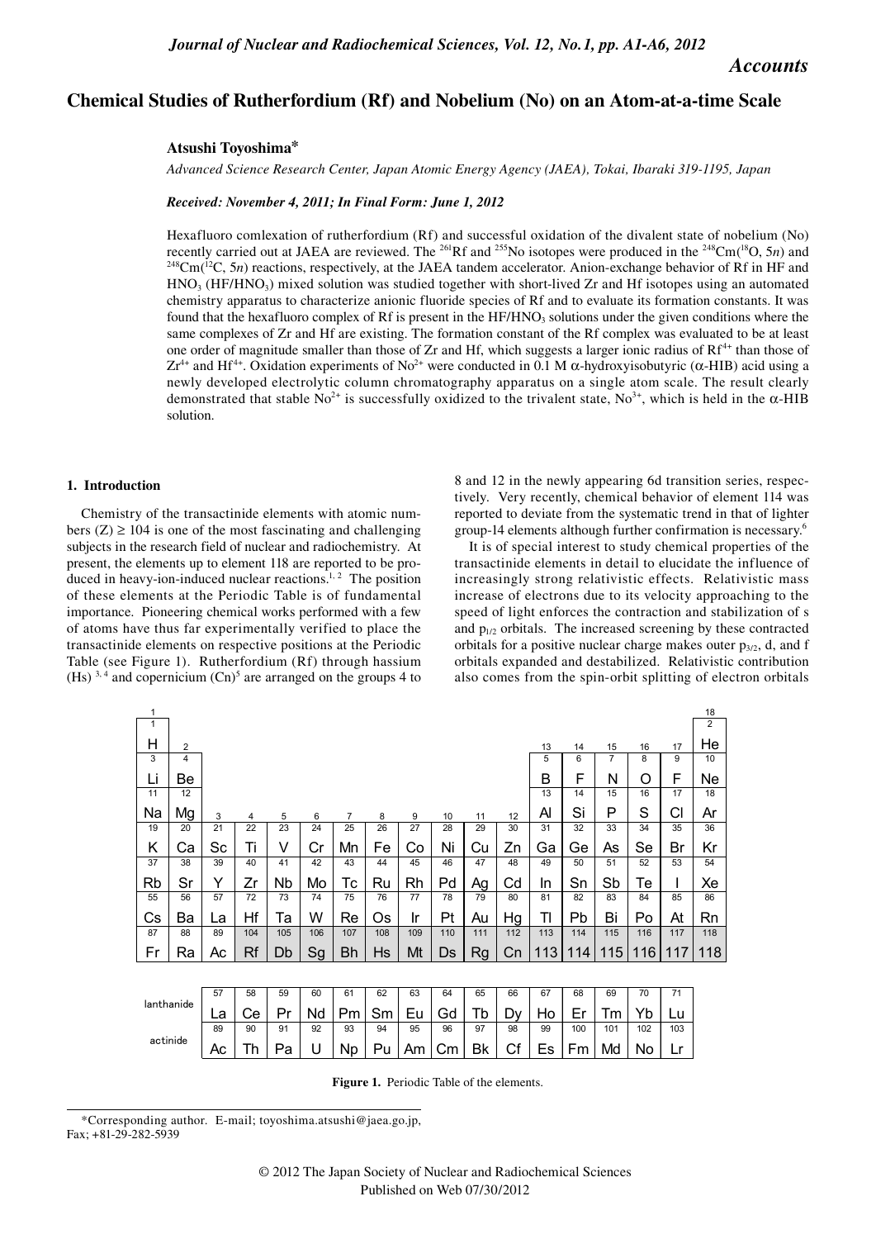# *Accounts*

# **Chemical Studies of Rutherfordium (Rf) and Nobelium (No) on an Atom-at-a-time Scale**

## **Atsushi Toyoshima\***

*Advanced Science Research Center, Japan Atomic Energy Agency (JAEA), Tokai, Ibaraki 319-1195, Japan*

*Received: November 4, 2011; In Final Form: June 1, 2012*

Hexafluoro comlexation of rutherfordium (Rf) and successful oxidation of the divalent state of nobelium (No) recently carried out at JAEA are reviewed. The <sup>261</sup>Rf and <sup>255</sup>No isotopes were produced in the <sup>248</sup>Cm(<sup>18</sup>O, 5*n*) and <sup>248</sup>Cm(<sup>12</sup>C, 5*n*) reactions, respectively, at the JAEA tandem accelerator. Anion-exchange behavi  $HNO<sub>3</sub> (HF/HNO<sub>3</sub>)$  mixed solution was studied together with short-lived Zr and Hf isotopes using an automated chemistry apparatus to characterize anionic fluoride species of Rf and to evaluate its formation constants. It was found that the hexafluoro complex of Rf is present in the  $HF/HNO<sub>3</sub>$  solutions under the given conditions where the same complexes of Zr and Hf are existing. The formation constant of the Rf complex was evaluated to be at least one order of magnitude smaller than those of Zr and Hf, which suggests a larger ionic radius of  $Rf^{4+}$  than those of  $Zr^{4+}$  and Hf<sup>4+</sup>. Oxidation experiments of No<sup>2+</sup> were conducted in 0.1 M  $\alpha$ -hydroxyisobutyric ( $\alpha$ -HIB) acid using a newly developed electrolytic column chromatography apparatus on a single atom scale. The result clearly demonstrated that stable No<sup>2+</sup> is successfully oxidized to the trivalent state, No<sup>3+</sup>, which is held in the  $\alpha$ -HIB solution.

#### **1. Introduction**

Chemistry of the transactinide elements with atomic numbers  $(Z) \ge 104$  is one of the most fascinating and challenging subjects in the research field of nuclear and radiochemistry. At present, the elements up to element 118 are reported to be produced in heavy-ion-induced nuclear reactions.<sup>1, 2</sup> The position of these elements at the Periodic Table is of fundamental importance. Pioneering chemical works performed with a few of atoms have thus far experimentally verified to place the transactinide elements on respective positions at the Periodic Table (see Figure 1). Rutherfordium (Rf) through hassium (Hs)<sup>3,4</sup> and copernicium  $(Cn)^5$  are arranged on the groups 4 to

8 and 12 in the newly appearing 6d transition series, respectively. Very recently, chemical behavior of element 114 was reported to deviate from the systematic trend in that of lighter group-14 elements although further confirmation is necessary.6

It is of special interest to study chemical properties of the transactinide elements in detail to elucidate the influence of increasingly strong relativistic effects. Relativistic mass increase of electrons due to its velocity approaching to the speed of light enforces the contraction and stabilization of s and  $p_{1/2}$  orbitals. The increased screening by these contracted orbitals for a positive nuclear charge makes outer  $p_{3/2}$ , d, and f orbitals expanded and destabilized. Relativistic contribution also comes from the spin-orbit splitting of electron orbitals

| 1          |    |    |     |     |     |                |     |     |     |           |     |     |     |                |     |     | 18             |
|------------|----|----|-----|-----|-----|----------------|-----|-----|-----|-----------|-----|-----|-----|----------------|-----|-----|----------------|
| 1          |    |    |     |     |     |                |     |     |     |           |     |     |     |                |     |     | $\overline{2}$ |
| Н          | 2  |    |     |     |     |                |     |     |     |           |     | 13  | 14  | 15             | 16  | 17  | He             |
| 3          | 4  |    |     |     |     |                |     |     |     |           |     | 5   | 6   | $\overline{7}$ | 8   | 9   | 10             |
| Li         | Be |    |     |     |     |                |     |     |     |           |     | B   | F   | N              | O   | F   | Ne             |
| 11         | 12 |    |     |     |     |                |     |     |     |           |     | 13  | 14  | 15             | 16  | 17  | 18             |
| Na         | Mg | 3  | 4   | 5   | 6   | $\overline{7}$ | 8   | 9   | 10  | 11        | 12  | Al  | Si  | P              | S   | СI  | Ar             |
| 19         | 20 | 21 | 22  | 23  | 24  | 25             | 26  | 27  | 28  | 29        | 30  | 31  | 32  | 33             | 34  | 35  | 36             |
| Κ          | Cа | Sc | Ti  | v   | Сr  | Mn             | Fe  | Co  | Ni  | Cu        | Zn  | Ga  | Ge  | As             | Se  | Br  | Κr             |
| 37         | 38 | 39 | 40  | 41  | 42  | 43             | 44  | 45  | 46  | 47        | 48  | 49  | 50  | 51             | 52  | 53  | 54             |
| Rb         | Sr | Y  | Zr  | Nb  | Mo  | Тc             | Ru  | Rh  | Pd  | Ag        | Cd  | In. | Sn  | Sb             | Тe  | I   | Xe             |
| 55         | 56 | 57 | 72  | 73  | 74  | 75             | 76  | 77  | 78  | 79        | 80  | 81  | 82  | 83             | 84  | 85  | 86             |
| Сs         | Ba | La | Ηf  | Та  | W   | Re             | Os  | Ir  | Pt  | Au        | Hg  | TI  | Pb  | Bi             | Po  | At  | Rn             |
| 87         | 88 | 89 | 104 | 105 | 106 | 107            | 108 | 109 | 110 | 111       | 112 | 113 | 114 | 115            | 116 | 117 | 118            |
| Fr         | Ra | Ac | Rf  | Db  | Sg  | <b>Bh</b>      | Hs  | Mt  | Ds  | <b>Rg</b> | Cn  | 113 | 114 | 115            | 116 | 117 | 118            |
|            |    |    |     |     |     |                |     |     |     |           |     |     |     |                |     |     |                |
| lanthanide |    | 57 | 58  | 59  | 60  | 61             | 62  | 63  | 64  | 65        | 66  | 67  | 68  | 69             | 70  | 71  |                |
|            |    |    |     |     |     |                |     |     |     |           |     |     |     |                |     |     |                |
|            |    | La | Cе  | Pr  | Nd  | Рm             | Sm  | Eu  | Gd  | Tb        | Dv  | Ho  | Er  | Tm             | Yb  | Lu  |                |
| actinide   |    | 89 | 90  | 91  | 92  | 93             | 94  | 95  | 96  | 97        | 98  | 99  | 100 | 101            | 102 | 103 |                |
|            |    | Aс | Th  | Pa  | U   | <b>Np</b>      | Pu  | Am  | Сm  | Bk        | Сf  | Es  | Fm  | Md             | No  | Lr  |                |

**Figure 1.** Periodic Table of the elements.

<sup>\*</sup>Corresponding author. E-mail; toyoshima.atsushi@jaea.go.jp, Fax; +81-29-282-5939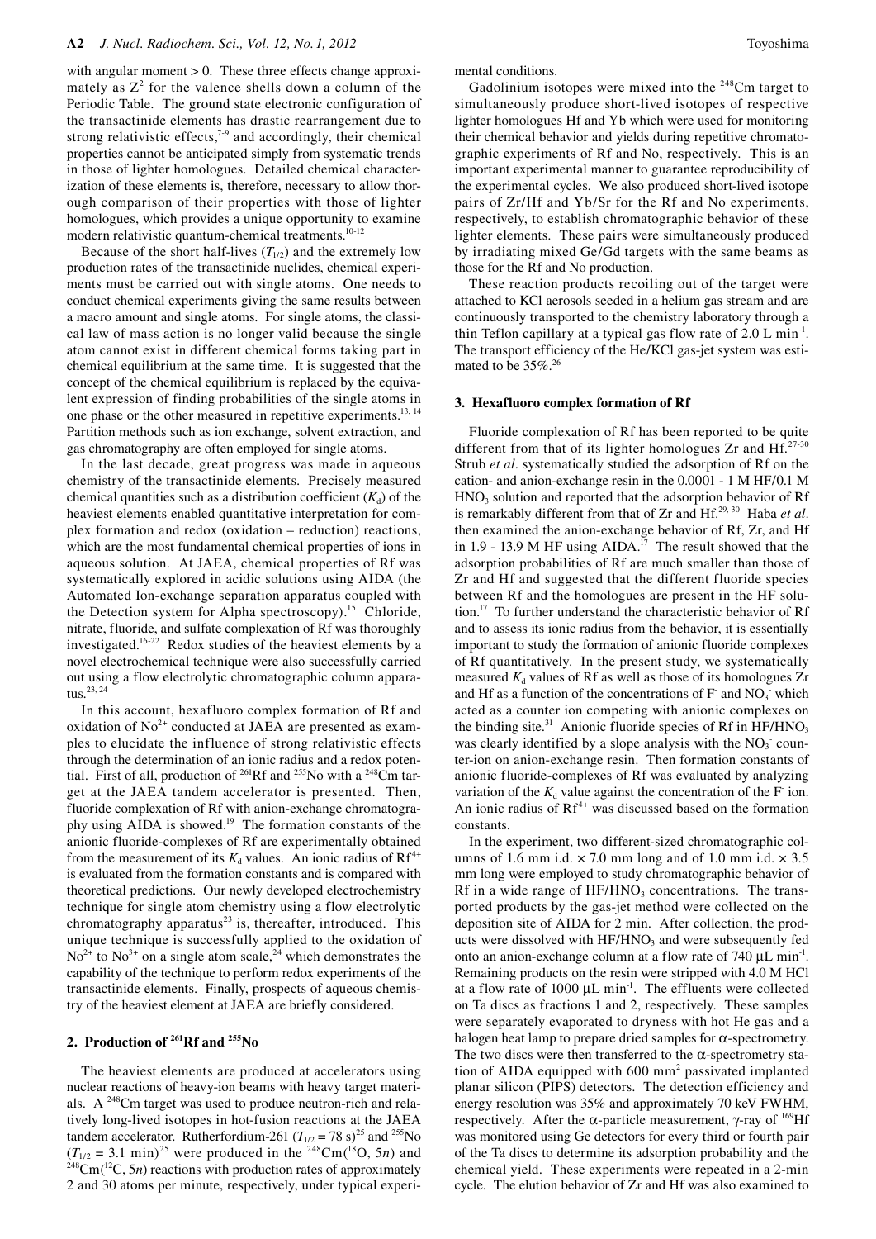with angular moment > 0. These three effects change approximately as  $Z^2$  for the valence shells down a column of the Periodic Table. The ground state electronic configuration of the transactinide elements has drastic rearrangement due to strong relativistic effects,<sup>7-9</sup> and accordingly, their chemical properties cannot be anticipated simply from systematic trends in those of lighter homologues. Detailed chemical characterization of these elements is, therefore, necessary to allow thorough comparison of their properties with those of lighter homologues, which provides a unique opportunity to examine modern relativistic quantum-chemical treatments.<sup>10-12</sup>

Because of the short half-lives  $(T_{1/2})$  and the extremely low production rates of the transactinide nuclides, chemical experiments must be carried out with single atoms. One needs to conduct chemical experiments giving the same results between a macro amount and single atoms. For single atoms, the classical law of mass action is no longer valid because the single atom cannot exist in different chemical forms taking part in chemical equilibrium at the same time. It is suggested that the concept of the chemical equilibrium is replaced by the equivalent expression of finding probabilities of the single atoms in one phase or the other measured in repetitive experiments.<sup>13, 14</sup> Partition methods such as ion exchange, solvent extraction, and gas chromatography are often employed for single atoms.

In the last decade, great progress was made in aqueous chemistry of the transactinide elements. Precisely measured chemical quantities such as a distribution coefficient  $(K_d)$  of the heaviest elements enabled quantitative interpretation for complex formation and redox (oxidation – reduction) reactions, which are the most fundamental chemical properties of ions in aqueous solution. At JAEA, chemical properties of Rf was systematically explored in acidic solutions using AIDA (the Automated Ion-exchange separation apparatus coupled with the Detection system for Alpha spectroscopy).<sup>15</sup> Chloride, nitrate, fluoride, and sulfate complexation of Rf was thoroughly investigated.16-22 Redox studies of the heaviest elements by a novel electrochemical technique were also successfully carried out using a flow electrolytic chromatographic column apparatus.<sup>23, 24</sup>

In this account, hexafluoro complex formation of Rf and oxidation of  $No<sup>2+</sup>$  conducted at JAEA are presented as examples to elucidate the influence of strong relativistic effects through the determination of an ionic radius and a redox potential. First of all, production of <sup>261</sup>Rf and <sup>255</sup>No with a <sup>248</sup>Cm target at the JAEA tandem accelerator is presented. Then, fluoride complexation of Rf with anion-exchange chromatography using AIDA is showed.<sup>19</sup> The formation constants of the anionic fluoride-complexes of Rf are experimentally obtained from the measurement of its  $K_d$  values. An ionic radius of  $\mathbb{R}^{4+}$ is evaluated from the formation constants and is compared with theoretical predictions. Our newly developed electrochemistry technique for single atom chemistry using a flow electrolytic chromatography apparatus<sup>23</sup> is, thereafter, introduced. This unique technique is successfully applied to the oxidation of  $No<sup>2+</sup>$  to  $No<sup>3+</sup>$  on a single atom scale,<sup>24</sup> which demonstrates the capability of the technique to perform redox experiments of the transactinide elements. Finally, prospects of aqueous chemistry of the heaviest element at JAEA are briefly considered.

# **2. Production of 261Rf and 255No**

The heaviest elements are produced at accelerators using nuclear reactions of heavy-ion beams with heavy target materials. A 248Cm target was used to produce neutron-rich and relatively long-lived isotopes in hot-fusion reactions at the JAEA tandem accelerator. Rutherfordium-261 ( $T_{1/2} = 78$  s)<sup>25</sup> and <sup>255</sup>No ( $T_{1/2} = 3.1$  min)<sup>25</sup> were produced in the <sup>248</sup>Cm(<sup>18</sup>O, 5*n*) and  $T^{248}$ Cm( $T^{2}$ C, 5*n*) reactions with production rates of approximately 2 and 30 atoms per minute, respectively, under typical experimental conditions.

Gadolinium isotopes were mixed into the <sup>248</sup>Cm target to simultaneously produce short-lived isotopes of respective lighter homologues Hf and Yb which were used for monitoring their chemical behavior and yields during repetitive chromatographic experiments of Rf and No, respectively. This is an important experimental manner to guarantee reproducibility of the experimental cycles. We also produced short-lived isotope pairs of Zr/Hf and Yb/Sr for the Rf and No experiments, respectively, to establish chromatographic behavior of these lighter elements. These pairs were simultaneously produced by irradiating mixed Ge/Gd targets with the same beams as those for the Rf and No production.

These reaction products recoiling out of the target were attached to KCl aerosols seeded in a helium gas stream and are continuously transported to the chemistry laboratory through a thin Teflon capillary at a typical gas flow rate of  $2.0 \, \text{L min}^{-1}$ . The transport efficiency of the He/KCl gas-jet system was estimated to be  $35\%$ .<sup>26</sup>

#### **3. Hexafluoro complex formation of Rf**

Fluoride complexation of Rf has been reported to be quite different from that of its lighter homologues  $Zr$  and  $Hf^{27-30}$ Strub *et al*. systematically studied the adsorption of Rf on the cation- and anion-exchange resin in the 0.0001 - 1 M HF/0.1 M  $HNO<sub>3</sub>$  solution and reported that the adsorption behavior of Rf is remarkably different from that of Zr and Hf.<sup>29, 30</sup> Haba et al. then examined the anion-exchange behavior of Rf, Zr, and Hf in 1.9 - 13.9 M HF using AIDA.<sup>17</sup> The result showed that the adsorption probabilities of Rf are much smaller than those of Zr and Hf and suggested that the different fluoride species between Rf and the homologues are present in the HF solution.17 To further understand the characteristic behavior of Rf and to assess its ionic radius from the behavior, it is essentially important to study the formation of anionic fluoride complexes of Rf quantitatively. In the present study, we systematically measured  $K_d$  values of Rf as well as those of its homologues  $Zr$ and Hf as a function of the concentrations of  $F$  and  $NO<sub>3</sub>$  which acted as a counter ion competing with anionic complexes on the binding site. $31$  Anionic fluoride species of Rf in HF/HNO<sub>3</sub> was clearly identified by a slope analysis with the  $NO<sub>3</sub>$  counter-ion on anion-exchange resin. Then formation constants of anionic fluoride-complexes of Rf was evaluated by analyzing variation of the  $K_d$  value against the concentration of the  $F$  ion. An ionic radius of  $Rf^{4+}$  was discussed based on the formation constants.

In the experiment, two different-sized chromatographic columns of 1.6 mm i.d.  $\times$  7.0 mm long and of 1.0 mm i.d.  $\times$  3.5 mm long were employed to study chromatographic behavior of Rf in a wide range of  $HF/HNO<sub>3</sub>$  concentrations. The transported products by the gas-jet method were collected on the deposition site of AIDA for 2 min. After collection, the products were dissolved with HF/HNO<sub>3</sub> and were subsequently fed onto an anion-exchange column at a flow rate of  $740 \mu L \text{ min}^{-1}$ . Remaining products on the resin were stripped with 4.0 M HCl at a flow rate of  $1000 \mu L \text{ min}^{-1}$ . The effluents were collected on Ta discs as fractions 1 and 2, respectively. These samples were separately evaporated to dryness with hot He gas and a halogen heat lamp to prepare dried samples for  $\alpha$ -spectrometry. The two discs were then transferred to the  $\alpha$ -spectrometry station of AIDA equipped with  $600 \text{ mm}^2$  passivated implanted planar silicon (PIPS) detectors. The detection efficiency and energy resolution was 35% and approximately 70 keV FWHM, respectively. After the α-particle measurement, γ-ray of  $169$ Hf was monitored using Ge detectors for every third or fourth pair of the Ta discs to determine its adsorption probability and the chemical yield. These experiments were repeated in a 2-min cycle. The elution behavior of Zr and Hf was also examined to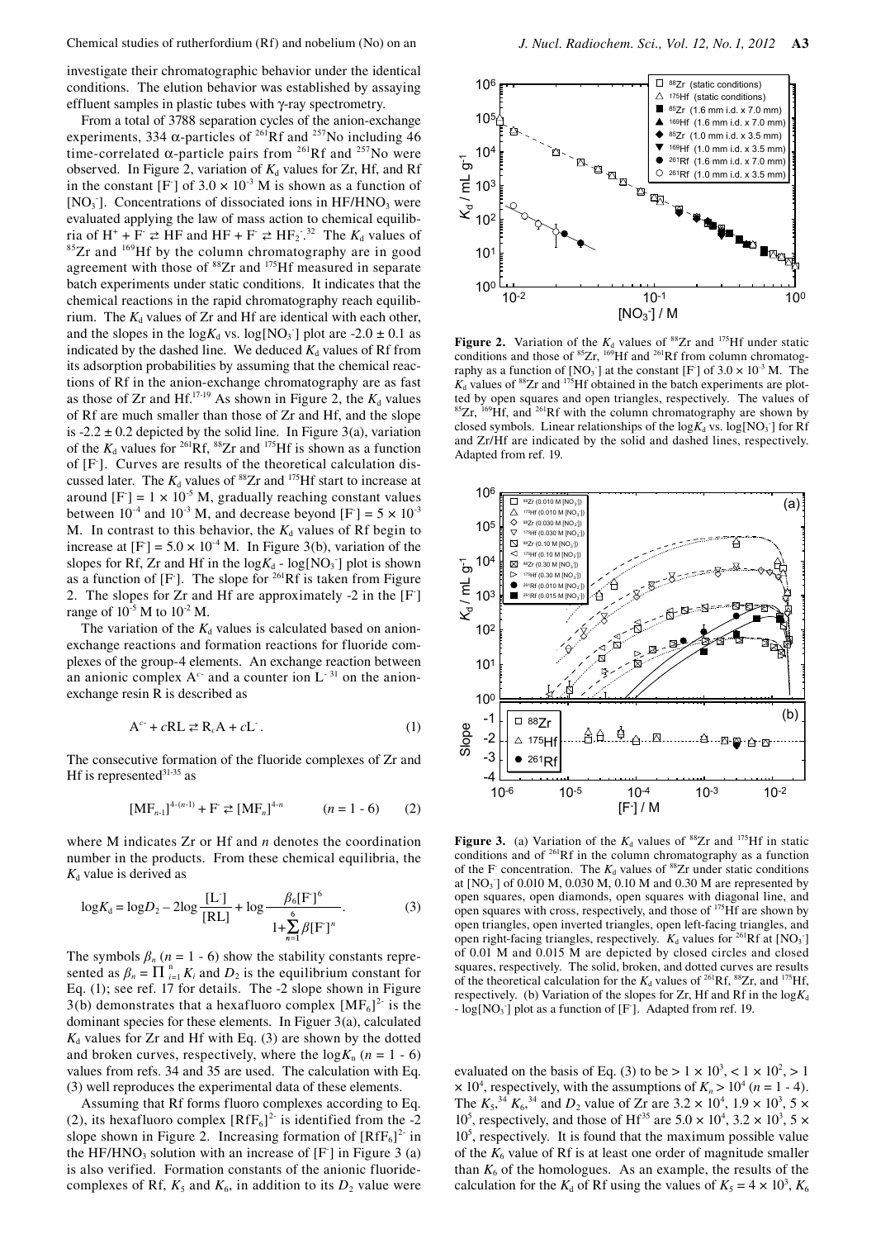investigate their chromatographic behavior under the identical conditions. The elution behavior was established by assaying effluent samples in plastic tubes with γ-ray spectrometry.

From a total of 3788 separation cycles of the anion-exchange experiments, 334  $\alpha$ -particles of <sup>261</sup>Rf and <sup>257</sup>No including 46 time-correlated  $\alpha$ -particle pairs from <sup>261</sup>Rf and <sup>257</sup>No were observed. In Figure 2, variation of  $K_d$  values for Zr, Hf, and Rf in the constant [F] of  $3.0 \times 10^{-3}$  M is shown as a function of [NO<sub>3</sub>]. Concentrations of dissociated ions in HF/HNO<sub>3</sub> were evaluated applying the law of mass action to chemical equilibria of  $H^+ + F \rightleftarrows HF$  and  $HF + F \rightleftarrows HF_2$ .  $85Zr$  and  $169Hf$  by the column chromatography are in good agreement with those of <sup>88</sup>Zr and <sup>175</sup>Hf measured in separate batch experiments under static conditions. It indicates that the chemical reactions in the rapid chromatography reach equilibrium. The  $K_d$  values of Zr and Hf are identical with each other, and the slopes in the  $log K_d$  vs.  $log[NO_3]$  plot are  $-2.0 \pm 0.1$  as indicated by the dashed line. We deduced  $K_d$  values of Rf from its adsorption probabilities by assuming that the chemical reactions of Rf in the anion-exchange chromatography are as fast as those of Zr and Hf.<sup>17-19</sup> As shown in Figure 2, the  $K_d$  values of Rf are much smaller than those of Zr and Hf, and the slope is  $-2.2 \pm 0.2$  depicted by the solid line. In Figure 3(a), variation of the  $K_d$  values for <sup>261</sup>Rf, <sup>88</sup>Zr and <sup>175</sup>Hf is shown as a function of [F]. Curves are results of the theoretical calculation discussed later. The  $K_d$  values of <sup>88</sup>Zr and <sup>175</sup>Hf start to increase at around  $[F] = 1 \times 10^{-5}$  M, gradually reaching constant values between  $10^{-4}$  and  $10^{-3}$  M, and decrease beyond [F] = 5  $\times$  10<sup>-3</sup> M. In contrast to this behavior, the  $K_d$  values of Rf begin to increase at  $[F] = 5.0 \times 10^{-4}$  M. In Figure 3(b), variation of the slopes for Rf, Zr and Hf in the  $log K_d$  -  $log[NO_3]$  plot is shown as a function of  $[F]$ . The slope for <sup>261</sup>Rf is taken from Figure 2. The slopes for Zr and Hf are approximately -2 in the [F] range of  $10^{-5}$  M to  $10^{-2}$  M.

The variation of the  $K_d$  values is calculated based on anionexchange reactions and formation reactions for fluoride complexes of the group-4 elements. An exchange reaction between an anionic complex  $A^c$  and a counter ion  $L^{-31}$  on the anionexchange resin R is described as

$$
A^{c} + cRL \ge R_cA + cL. \qquad (1)
$$

The consecutive formation of the fluoride complexes of Zr and Hf is represented $31-35$  as

$$
[MFn-1]4-(n-1) + F \ge [MFn]4-n \qquad (n = 1 - 6) \qquad (2)
$$

where M indicates Zr or Hf and *n* denotes the coordination number in the products. From these chemical equilibria, the  $K_d$  value is derived as

$$
\log K_{\rm d} = \log D_2 - 2\log\frac{[{\rm L}]}{[{\rm RL}]} + \log\frac{\beta_6[{\rm F}]^6}{1 + \sum_{i=1}^{6} \beta [{\rm F}]^n}.
$$
 (3)

The symbols  $\beta_n$  ( $n = 1 - 6$ ) show the stability constants represented as  $\beta_n = \prod_{i=1}^n K_i$  and  $D_2$  is the equilibrium constant for Eq. (1); see ref. 17 for details. The -2 slope shown in Figure 3(b) demonstrates that a hexafluoro complex  $[MF_6]^2$  is the dominant species for these elements. In Figuer 3(a), calculated  $K_d$  values for Zr and Hf with Eq. (3) are shown by the dotted and broken curves, respectively, where the  $log K_n$  ( $n = 1 - 6$ ) values from refs. 34 and 35 are used. The calculation with Eq. (3) well reproduces the experimental data of these elements.

Assuming that Rf forms fluoro complexes according to Eq. (2), its hexafluoro complex  $[RfF_6]^2$  is identified from the -2 slope shown in Figure 2. Increasing formation of  $[RfF_6]^2$  in the HF/HNO<sub>3</sub> solution with an increase of  $[F]$  in Figure 3 (a) is also verified. Formation constants of the anionic fluoridecomplexes of Rf,  $K_5$  and  $K_6$ , in addition to its  $D_2$  value were



**Figure 2.** Variation of the  $K_d$  values of <sup>88</sup>Zr and <sup>175</sup>Hf under static conditions and those of  ${}^{85}Zr$ ,  ${}^{169}Hf$  and  ${}^{261}Rf$  from column chromatography as a function of  $[NO_3]$  at the constant  $[F]$  of  $3.0 \times 10^{-3}$  M. The  $K<sub>d</sub>$  values of <sup>88</sup>Zr and <sup>175</sup>Hf obtained in the batch experiments are plotted by open squares and open triangles, respectively. The values of  ${}^{85}Zr$ ,  ${}^{169}Hf$ , and  ${}^{261}Rf$  with the column chromatography are shown by closed symbols. Linear relationships of the  $log K_d$  vs.  $log[NO_3]$  for Rf and Zr/Hf are indicated by the solid and dashed lines, respectively. Adapted from ref. 19.



**Figure 3.** (a) Variation of the  $K_d$  values of <sup>88</sup>Zr and <sup>175</sup>Hf in static conditions and of 261Rf in the column chromatography as a function of the F concentration. The  $K_d$  values of <sup>88</sup>Zr under static conditions at [NO<sub>3</sub><sup>-</sup>] of 0.010 M, 0.030 M, 0.10 M and 0.30 M are represented by open squares, open diamonds, open squares with diagonal line, and open squares with cross, respectively, and those of  $^{175}$ Hf are shown by open triangles, open inverted triangles, open left-facing triangles, and open right-facing triangles, respectively.  $K_d$  values for <sup>261</sup>Rf at [NO<sub>3</sub><sup>-</sup>] of 0.01 M and 0.015 M are depicted by closed circles and closed squares, respectively. The solid, broken, and dotted curves are results of the theoretical calculation for the  $K_d$  values of <sup>261</sup>Rf, <sup>88</sup>Zr, and <sup>175</sup>Hf, respectively. (b) Variation of the slopes for Zr, Hf and Rf in the  $log K_d$ -  $log[NO<sub>3</sub>$ ] plot as a function of [F]. Adapted from ref. 19.

evaluated on the basis of Eq. (3) to be  $> 1 \times 10^3$ ,  $< 1 \times 10^2$ ,  $> 1$  $\times$  10<sup>4</sup>, respectively, with the assumptions of  $K_n$  > 10<sup>4</sup> (*n* = 1 - 4). The  $K_5^{34} K_6^{34}$  and  $D_2$  value of Zr are 3.2  $\times$  10<sup>4</sup>, 1.9  $\times$  10<sup>3</sup>, 5  $\times$  $10^5$ , respectively, and those of Hf<sup>35</sup> are  $5.0 \times 10^4$ ,  $3.2 \times 10^3$ ,  $5 \times$ 105 , respectively. It is found that the maximum possible value of the  $K_6$  value of Rf is at least one order of magnitude smaller than  $K_6$  of the homologues. As an example, the results of the calculation for the  $K_d$  of Rf using the values of  $K_5 = 4 \times 10^3$ ,  $K_6$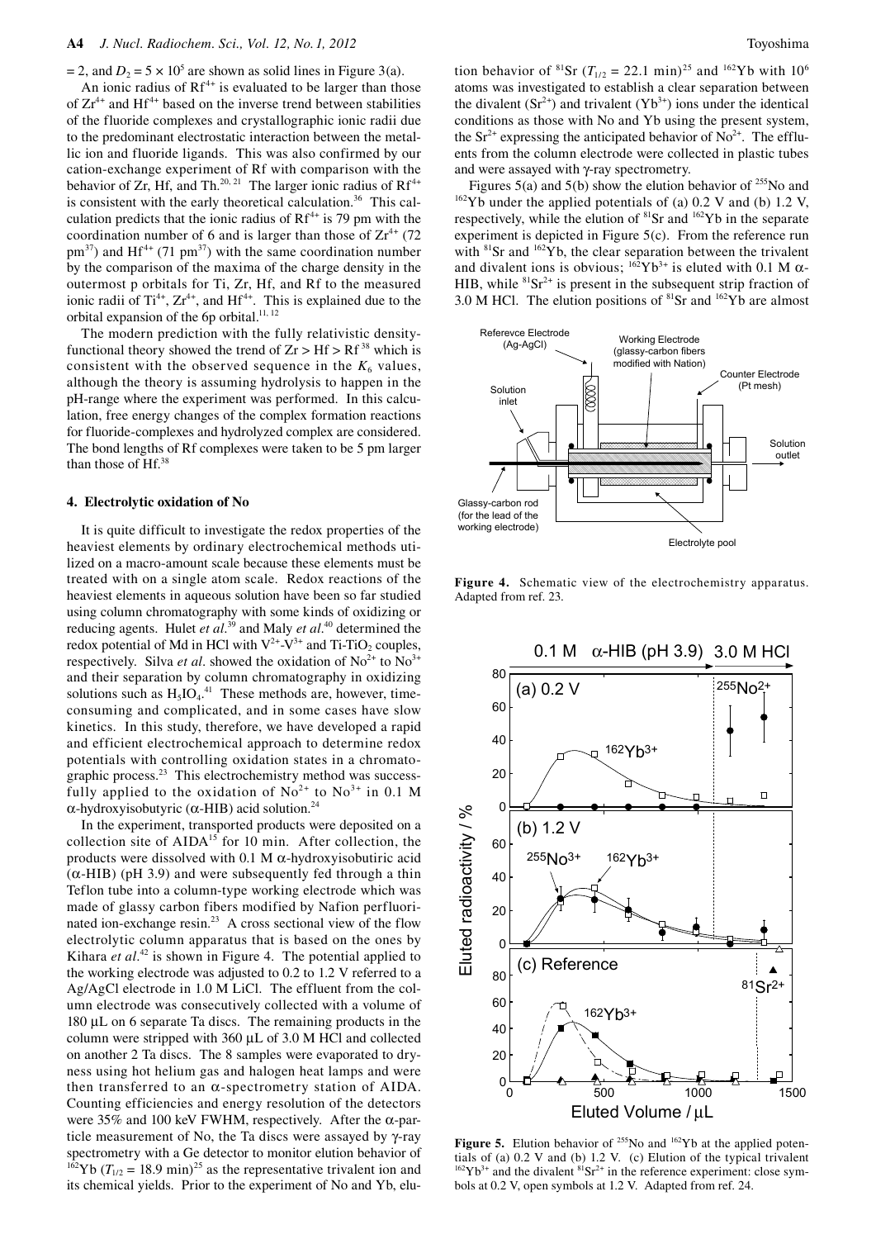$= 2$ , and  $D_2 = 5 \times 10^5$  are shown as solid lines in Figure 3(a).

An ionic radius of  $Rf^{4+}$  is evaluated to be larger than those of  $Zr^{4+}$  and Hf<sup>4+</sup> based on the inverse trend between stabilities of the fluoride complexes and crystallographic ionic radii due to the predominant electrostatic interaction between the metallic ion and fluoride ligands. This was also confirmed by our cation-exchange experiment of Rf with comparison with the behavior of Zr, Hf, and Th.<sup>20, 21</sup> The larger ionic radius of  $Rf^{4+}$ is consistent with the early theoretical calculation.<sup>36</sup> This calculation predicts that the ionic radius of  $Rf^{4+}$  is 79 pm with the coordination number of 6 and is larger than those of  $Zr^{4+}$  (72)  $pm^{37}$ ) and Hf<sup>4+</sup> (71 pm<sup>37</sup>) with the same coordination number by the comparison of the maxima of the charge density in the outermost p orbitals for Ti, Zr, Hf, and Rf to the measured ionic radii of  $Ti^{4+}$ ,  $Zr^{4+}$ , and  $Hf^{4+}$ . This is explained due to the orbital expansion of the 6p orbital.<sup>11, 12</sup>

The modern prediction with the fully relativistic densityfunctional theory showed the trend of  $Zr > Hf > Rf^{38}$  which is consistent with the observed sequence in the  $K_6$  values, although the theory is assuming hydrolysis to happen in the pH-range where the experiment was performed. In this calculation, free energy changes of the complex formation reactions for fluoride-complexes and hydrolyzed complex are considered. The bond lengths of Rf complexes were taken to be 5 pm larger than those of Hf.38

#### **4. Electrolytic oxidation of No**

It is quite difficult to investigate the redox properties of the heaviest elements by ordinary electrochemical methods utilized on a macro-amount scale because these elements must be treated with on a single atom scale. Redox reactions of the heaviest elements in aqueous solution have been so far studied using column chromatography with some kinds of oxidizing or reducing agents. Hulet *et al*. 39 and Maly *et al*. 40 determined the redox potential of Md in HCl with  $V^{2+}-V^{3+}$  and Ti-TiO<sub>2</sub> couples, respectively. Silva *et al.* showed the oxidation of  $No^{2+}$  to  $No^{3+}$ and their separation by column chromatography in oxidizing solutions such as  $H_5IO_4$ .<sup>41</sup> These methods are, however, timeconsuming and complicated, and in some cases have slow kinetics. In this study, therefore, we have developed a rapid and efficient electrochemical approach to determine redox potentials with controlling oxidation states in a chromatographic process.<sup>23</sup> This electrochemistry method was successfully applied to the oxidation of  $No^{2+}$  to  $No^{3+}$  in 0.1 M α-hydroxyisobutyric (α-HIB) acid solution.<sup>24</sup>

In the experiment, transported products were deposited on a collection site of AIDA<sup>15</sup> for 10 min. After collection, the products were dissolved with 0.1 M α-hydroxyisobutiric acid (α-HIB) (pH 3.9) and were subsequently fed through a thin Teflon tube into a column-type working electrode which was made of glassy carbon fibers modified by Nafion perfluorinated ion-exchange resin.<sup>23</sup> A cross sectional view of the flow electrolytic column apparatus that is based on the ones by Kihara *et al.*<sup>42</sup> is shown in Figure 4. The potential applied to the working electrode was adjusted to 0.2 to 1.2 V referred to a Ag/AgCl electrode in 1.0 M LiCl. The effluent from the column electrode was consecutively collected with a volume of 180 µL on 6 separate Ta discs. The remaining products in the column were stripped with 360 µL of 3.0 M HCl and collected on another 2 Ta discs. The 8 samples were evaporated to dryness using hot helium gas and halogen heat lamps and were then transferred to an  $\alpha$ -spectrometry station of AIDA. Counting efficiencies and energy resolution of the detectors were 35% and 100 keV FWHM, respectively. After the  $\alpha$ -particle measurement of No, the Ta discs were assayed by γ-ray spectrometry with a Ge detector to monitor elution behavior of <sup>162</sup>Yb ( $T_{1/2}$  = 18.9 min)<sup>25</sup> as the representative trivalent ion and its chemical yields. Prior to the experiment of No and Yb, elution behavior of <sup>81</sup>Sr ( $T_{1/2}$  = 22.1 min)<sup>25</sup> and <sup>162</sup>Yb with 10<sup>6</sup> atoms was investigated to establish a clear separation between the divalent  $(Sr^{2+})$  and trivalent  $(Yb^{3+})$  ions under the identical conditions as those with No and Yb using the present system, the  $Sr^{2+}$  expressing the anticipated behavior of No<sup>2+</sup>. The effluents from the column electrode were collected in plastic tubes and were assayed with γ-ray spectrometry.

Figures 5(a) and 5(b) show the elution behavior of <sup>255</sup>No and <sup>162</sup>Yb under the applied potentials of (a) 0.2 V and (b) 1.2 V, respectively, while the elution of 81Sr and 162Yb in the separate experiment is depicted in Figure 5(c). From the reference run with  ${}^{81}Sr$  and  ${}^{162}Yb$ , the clear separation between the trivalent and divalent ions is obvious;  $^{162}Yb^{3+}$  is eluted with 0.1 M  $\alpha$ -HIB, while  ${}^{81}Sr^{2+}$  is present in the subsequent strip fraction of 3.0 M HCl. The elution positions of  ${}^{81}Sr$  and  ${}^{162}Yb$  are almost



**Figure 4.** Schematic view of the electrochemistry apparatus. Adapted from ref. 23.



**Figure 5.** Elution behavior of <sup>255</sup>No and <sup>162</sup>Yb at the applied potentials of (a) 0.2 V and (b) 1.2 V. (c) Elution of the typical trivalent  $162\text{Yb}^{3+}$  and the divalent  $81\text{Sr}^{2+}$  in the reference experiment: close symbols at 0.2 V, open symbols at 1.2 V. Adapted from ref. 24.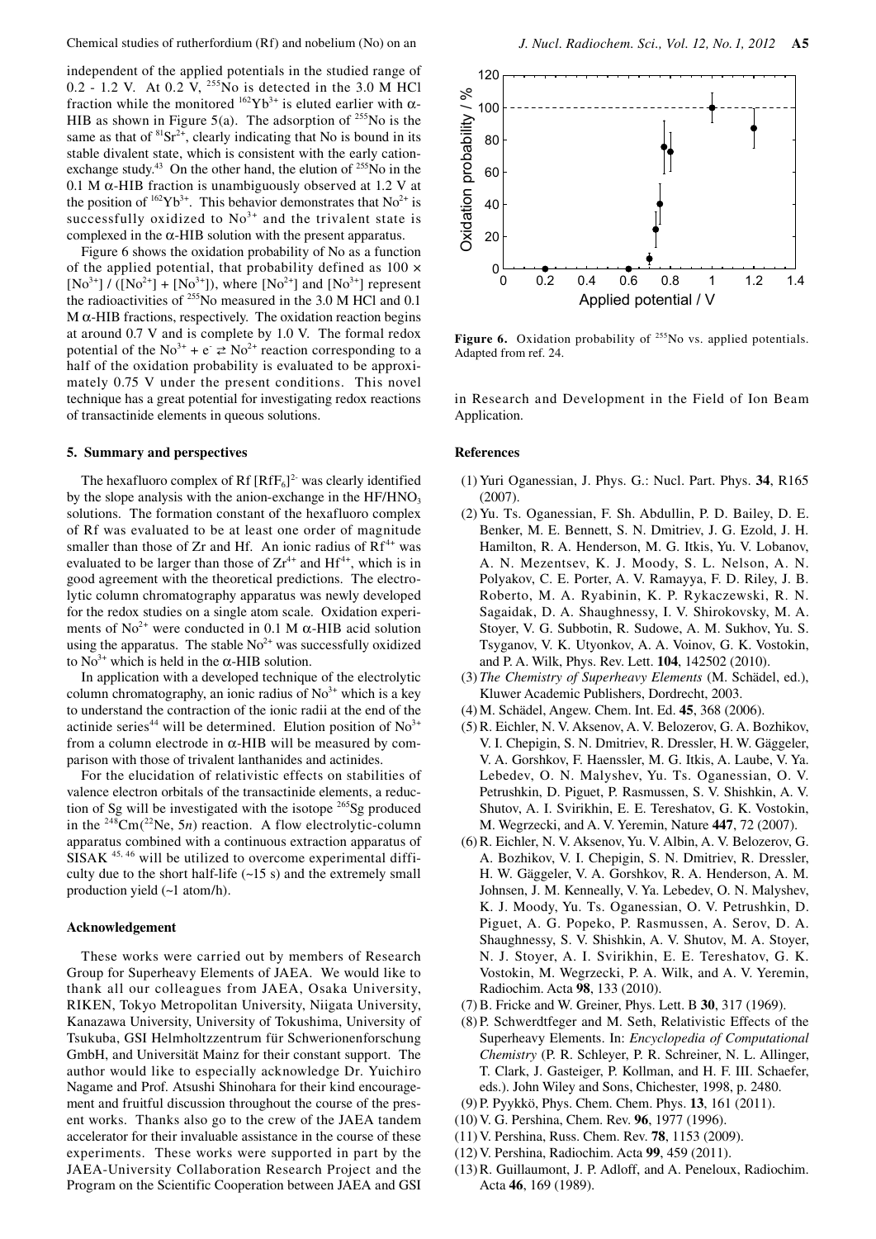independent of the applied potentials in the studied range of 0.2 - 1.2 V. At 0.2  $\hat{V}$ , <sup>255</sup>No is detected in the 3.0 M HCl fraction while the monitored  $^{162}Yb^{3+}$  is eluted earlier with  $\alpha$ -HIB as shown in Figure 5(a). The adsorption of  $^{255}$ No is the same as that of  ${}^{81}Sr^{2+}$ , clearly indicating that No is bound in its stable divalent state, which is consistent with the early cationexchange study.<sup>43</sup> On the other hand, the elution of  $^{255}$ No in the 0.1 M  $\alpha$ -HIB fraction is unambiguously observed at 1.2 V at the position of  $^{162}Yb^{3+}$ . This behavior demonstrates that No<sup>2+</sup> is successfully oxidized to  $No<sup>3+</sup>$  and the trivalent state is complexed in the  $\alpha$ -HIB solution with the present apparatus.

Figure 6 shows the oxidation probability of No as a function of the applied potential, that probability defined as  $100 \times$  $[No^{3+}] / ([No^{2+}] + [No^{3+}])$ , where  $[No^{2+}]$  and  $[No^{3+}]$  represent the radioactivities of 255No measured in the 3.0 M HCl and 0.1 M  $\alpha$ -HIB fractions, respectively. The oxidation reaction begins at around 0.7 V and is complete by 1.0 V. The formal redox potential of the No<sup>3+</sup> + e  $\rightleftarrows$  No<sup>2+</sup> reaction corresponding to a half of the oxidation probability is evaluated to be approximately 0.75 V under the present conditions. This novel technique has a great potential for investigating redox reactions of transactinide elements in queous solutions.

## **5. Summary and perspectives**

The hexafluoro complex of Rf  $[RfF_6]^2$  was clearly identified by the slope analysis with the anion-exchange in the  $HF/HNO<sub>3</sub>$ solutions. The formation constant of the hexafluoro complex of Rf was evaluated to be at least one order of magnitude smaller than those of  $Zr$  and Hf. An ionic radius of  $Rf^{4+}$  was evaluated to be larger than those of  $Zr^{4+}$  and  $Hf^{4+}$ , which is in good agreement with the theoretical predictions. The electrolytic column chromatography apparatus was newly developed for the redox studies on a single atom scale. Oxidation experiments of  $No^{2+}$  were conducted in 0.1 M  $\alpha$ -HIB acid solution using the apparatus. The stable  $No<sup>2+</sup>$  was successfully oxidized to  $\text{No}^{3+}$  which is held in the  $\alpha$ -HIB solution.

In application with a developed technique of the electrolytic column chromatography, an ionic radius of  $No<sup>3+</sup>$  which is a key to understand the contraction of the ionic radii at the end of the actinide series<sup>44</sup> will be determined. Elution position of  $No<sup>3+</sup>$ from a column electrode in α-HIB will be measured by comparison with those of trivalent lanthanides and actinides.

For the elucidation of relativistic effects on stabilities of valence electron orbitals of the transactinide elements, a reduction of Sg will be investigated with the isotope  $265$ Sg produced in the 248Cm(22Ne, 5*n*) reaction. A flow electrolytic-column apparatus combined with a continuous extraction apparatus of SISAK<sup>45, 46</sup> will be utilized to overcome experimental difficulty due to the short half-life (~15 s) and the extremely small production yield (~1 atom/h).

# **Acknowledgement**

These works were carried out by members of Research Group for Superheavy Elements of JAEA. We would like to thank all our colleagues from JAEA, Osaka University, RIKEN, Tokyo Metropolitan University, Niigata University, Kanazawa University, University of Tokushima, University of Tsukuba, GSI Helmholtzzentrum für Schwerionenforschung GmbH, and Universität Mainz for their constant support. The author would like to especially acknowledge Dr. Yuichiro Nagame and Prof. Atsushi Shinohara for their kind encouragement and fruitful discussion throughout the course of the present works. Thanks also go to the crew of the JAEA tandem accelerator for their invaluable assistance in the course of these experiments. These works were supported in part by the JAEA-University Collaboration Research Project and the Program on the Scientific Cooperation between JAEA and GSI



Figure 6. Oxidation probability of <sup>255</sup>No vs. applied potentials. Adapted from ref. 24.

in Research and Development in the Field of Ion Beam Application.

### **References**

- (1) Yuri Oganessian, J. Phys. G.: Nucl. Part. Phys. **34**, R165 (2007).
- (2) Yu. Ts. Oganessian, F. Sh. Abdullin, P. D. Bailey, D. E. Benker, M. E. Bennett, S. N. Dmitriev, J. G. Ezold, J. H. Hamilton, R. A. Henderson, M. G. Itkis, Yu. V. Lobanov, A. N. Mezentsev, K. J. Moody, S. L. Nelson, A. N. Polyakov, C. E. Porter, A. V. Ramayya, F. D. Riley, J. B. Roberto, M. A. Ryabinin, K. P. Rykaczewski, R. N. Sagaidak, D. A. Shaughnessy, I. V. Shirokovsky, M. A. Stoyer, V. G. Subbotin, R. Sudowe, A. M. Sukhov, Yu. S. Tsyganov, V. K. Utyonkov, A. A. Voinov, G. K. Vostokin, and P. A. Wilk, Phys. Rev. Lett. **104**, 142502 (2010).
- (3) *The Chemistry of Superheavy Elements* (M. Schädel, ed.), Kluwer Academic Publishers, Dordrecht, 2003.
- (4) M. Schädel, Angew. Chem. Int. Ed. **45**, 368 (2006).
- (5) R. Eichler, N. V. Aksenov, A. V. Belozerov, G. A. Bozhikov, V. I. Chepigin, S. N. Dmitriev, R. Dressler, H. W. Gäggeler, V. A. Gorshkov, F. Haenssler, M. G. Itkis, A. Laube, V. Ya. Lebedev, O. N. Malyshev, Yu. Ts. Oganessian, O. V. Petrushkin, D. Piguet, P. Rasmussen, S. V. Shishkin, A. V. Shutov, A. I. Svirikhin, E. E. Tereshatov, G. K. Vostokin, M. Wegrzecki, and A. V. Yeremin, Nature **447**, 72 (2007).
- (6) R. Eichler, N. V. Aksenov, Yu. V. Albin, A. V. Belozerov, G. A. Bozhikov, V. I. Chepigin, S. N. Dmitriev, R. Dressler, H. W. Gäggeler, V. A. Gorshkov, R. A. Henderson, A. M. Johnsen, J. M. Kenneally, V. Ya. Lebedev, O. N. Malyshev, K. J. Moody, Yu. Ts. Oganessian, O. V. Petrushkin, D. Piguet, A. G. Popeko, P. Rasmussen, A. Serov, D. A. Shaughnessy, S. V. Shishkin, A. V. Shutov, M. A. Stoyer, N. J. Stoyer, A. I. Svirikhin, E. E. Tereshatov, G. K. Vostokin, M. Wegrzecki, P. A. Wilk, and A. V. Yeremin, Radiochim. Acta **98**, 133 (2010).
- (7) B. Fricke and W. Greiner, Phys. Lett. B **30**, 317 (1969).
- (8) P. Schwerdtfeger and M. Seth, Relativistic Effects of the Superheavy Elements. In: *Encyclopedia of Computational Chemistry* (P. R. Schleyer, P. R. Schreiner, N. L. Allinger, T. Clark, J. Gasteiger, P. Kollman, and H. F. III. Schaefer, eds.). John Wiley and Sons, Chichester, 1998, p. 2480.
- (9) P. Pyykkö, Phys. Chem. Chem. Phys. **13**, 161 (2011).
- (10) V. G. Pershina, Chem. Rev. **96**, 1977 (1996).
- (11) V. Pershina, Russ. Chem. Rev. **78**, 1153 (2009).
- (12) V. Pershina, Radiochim. Acta **99**, 459 (2011).
- (13) R. Guillaumont, J. P. Adloff, and A. Peneloux, Radiochim. Acta **46**, 169 (1989).